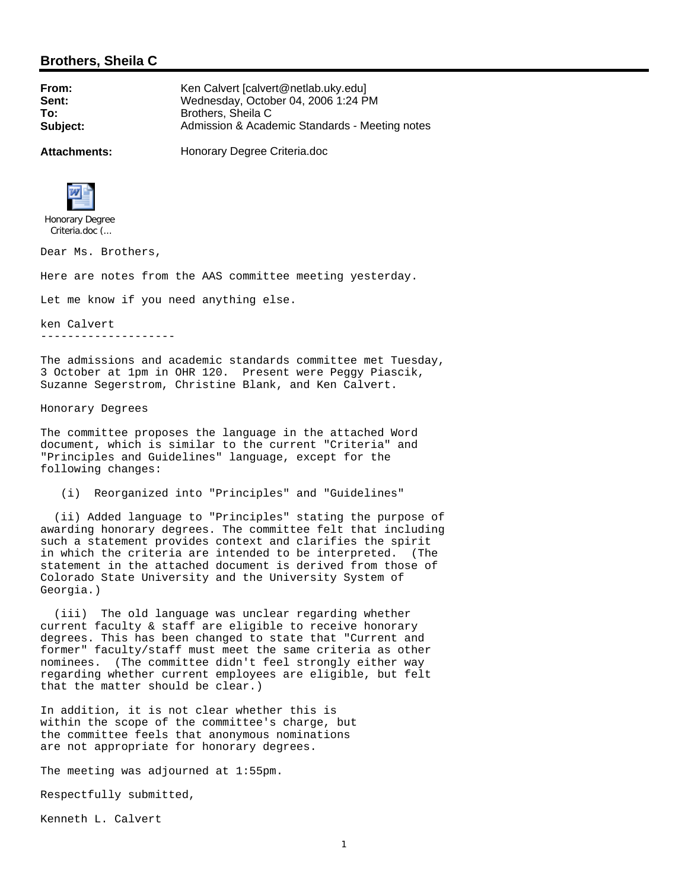## **Brothers, Sheila C**

**From:** Ken Calvert [calvert @netlab.uky.edu] **Sent:** Wednesday, October 04, 2006 1:24 PM **To:** Brothers, Sheila C **Subject:** Admission & Academic Standards - Meeting notes

**Attachments:** Honorary Degree Criteria.doc



Criteria.doc (...

Dear Ms. Brothers,

Here are notes from the AAS committee meeting yesterday.

Let me know if you need anything else.

ken Calvert --------------------

The admissions and academic standards committee met Tuesday, 3 October at 1pm in OHR 120. Present were Peggy Piascik, Suzanne Segerstrom, Christine Blank, and Ken Calvert.

Honorary Degrees

The committee proposes the language in the attached Word document, which is similar to the current "Criteria" and "Principles and Guidelines" language, except for the following changes:

(i) Reorganized into "Principles" and "Guidelines"

 (ii) Added language to "Principles" stating the purpose of awarding honorary degrees. The committee felt that including such a statement provides context and clarifies the spirit in which the criteria are intended to be interpreted. (The statement in the attached document is derived from those of Colorado State University and the University System of Georgia.)

 (iii) The old language was unclear regarding whether current faculty & staff are eligible to receive honorary degrees. This has been changed to state that "Current and former" faculty/staff must meet the same criteria as other nominees. (The committee didn't feel strongly either way regarding whether current employees are eligible, but felt that the matter should be clear.)

In addition, it is not clear whether this is within the scope of the committee's charge, but the committee feels that anonymous nominations are not appropriate for honorary degrees.

The meeting was adjourned at 1:55pm.

Respectfully submitted,

Kenneth L. Calvert